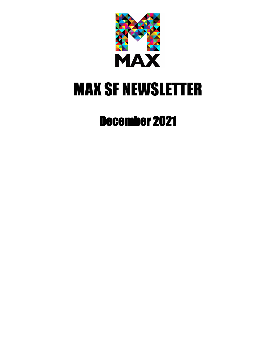

# MAX SF NEWSLETTER

# December 2021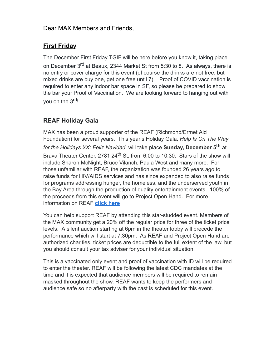# **First Friday**

The December First Friday TGIF will be here before you know it, taking place on December 3<sup>rd</sup> at Beaux, 2344 Market St from 5:30 to 8. As always, there is no entry or cover charge for this event (of course the drinks are not free, but mixed drinks are buy one, get one free until 7). Proof of COVID vaccination is required to enter any indoor bar space in SF, so please be prepared to show the bar your Proof of Vaccination. We are looking forward to hanging out with you on the 3<sup>rd</sup>!

# **REAF Holiday Gala**

MAX has been a proud supporter of the REAF (Richmond/Ermet Aid Foundation) for several years. This year's Holiday Gala, *Help Is On The Way for the Holidays XX: Feliz Navidad*, will take place **Sunday, December 5th** at Brava Theater Center, 2781 24<sup>th</sup> St, from 6:00 to 10:30. Stars of the show will include Sharon McNight, Bruce Vilanch, Paula West and many more. For those unfamiliar with REAF, the organization was founded 26 years ago to raise funds for HIV/AIDS services and has since expanded to also raise funds for programs addressing hunger, the homeless, and the underserved youth in the Bay Area through the production of quality entertainment events. 100% of the proceeds from this event will go to Project Open Hand. For more information on REAF **[click here](https://www.reaf-sf.org/)**

You can help support REAF by attending this star-studded event. Members of the MAX community get a 20% off the regular price for three of the ticket price levels. A silent auction starting at 6pm in the theater lobby will precede the performance which will start at 7:30pm. As REAF and Project Open Hand are authorized charities, ticket prices are deductible to the full extent of the law, but you should consult your tax adviser for your individual situation.

This is a vaccinated only event and proof of vaccination with ID will be required to enter the theater. REAF will be following the latest CDC mandates at the time and it is expected that audience members will be required to remain masked throughout the show. REAF wants to keep the performers and audience safe so no afterparty with the cast is scheduled for this event.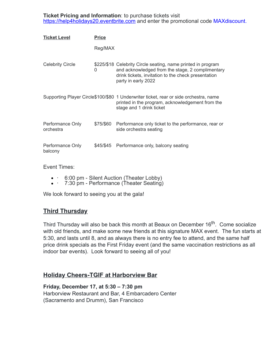**Ticket Pricing and Information**: to purchase tickets visit [https://help4holidays20.eventbrite.com](https://help4holidays20.eventbrite.com/) and enter the promotional code MAXdiscount.

| <b>Ticket Level</b>           | <b>Price</b> |                                                                                                                                                                                                |
|-------------------------------|--------------|------------------------------------------------------------------------------------------------------------------------------------------------------------------------------------------------|
|                               | Reg/MAX      |                                                                                                                                                                                                |
| <b>Celebrity Circle</b>       | 0            | \$225/\$18 Celebrity Circle seating, name printed in program<br>and acknowledged from the stage, 2 complimentary<br>drink tickets, invitation to the check presentation<br>party in early 2022 |
|                               |              | Supporting Player Circle\$100/\$80 1 Underwriter ticket, rear or side orchestra, name<br>printed in the program, acknowledgement from the<br>stage and 1 drink ticket                          |
| Performance Only<br>orchestra |              | \$75/\$60 Performance only ticket to the performance, rear or<br>side orchestra seating                                                                                                        |
| Performance Only<br>balcony   |              | \$45/\$45 Performance only, balcony seating                                                                                                                                                    |

Event Times:

- · 6:00 pm Silent Auction (Theater Lobby)
- 7:30 pm Performance (Theater Seating)

We look forward to seeing you at the gala!

#### **Third Thursday**

Third Thursday will also be back this month at Beaux on December 16<sup>th</sup>. Come socialize with old friends, and make some new friends at this signature MAX event. The fun starts at 5:30, and lasts until 8, and as always there is no entry fee to attend, and the same half price drink specials as the First Friday event (and the same vaccination restrictions as all indoor bar events). Look forward to seeing all of you!

#### **Holiday Cheers-TGIF at Harborview Bar**

#### **Friday, December 17, at 5:30 – 7:30 pm**

Harborview Restaurant and Bar, 4 Embarcadero Center (Sacramento and Drumm), San Francisco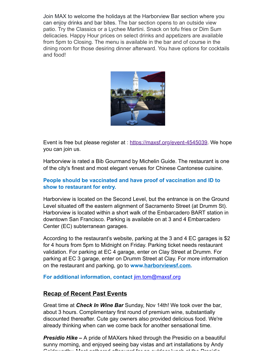Join MAX to welcome the holidays at the Harborview Bar section where you can enjoy drinks and bar bites. The bar section opens to an outside view patio. Try the Classics or a Lychee Martini. Snack on tofu fries or Dim Sum delicacies. Happy Hour prices on select drinks and appetizers are available from 5pm to Closing. The menu is available in the bar and of course in the dining room for those desiring dinner afterward. You have options for cocktails and food!



Event is free but please register at : <u><https://maxsf.org/event-4545039></u>. We hope you can join us.

Harborview is rated a Bib Gourmand by Michelin Guide. The restaurant is one of the city's finest and most elegant venues for Chinese Cantonese cuisine.

#### **People should be vaccinated and have proof of vaccination and ID to show to restaurant for entry.**

Harborview is located on the Second Level, but the entrance is on the Ground Level situated off the eastern alignment of Sacramento Street (at Drumm St). Harborview is located within a short walk of the Embarcadero BART station in downtown San Francisco. Parking is available on at 3 and 4 Embarcadero Center (EC) subterranean garages.

According to the restaurant's website, parking at the 3 and 4 EC garages is \$2 for 4 hours from 5pm to Midnight on Friday. Parking ticket needs restaurant validation. For parking at EC 4 garage, enter on Clay Street at Drumm. For parking at EC 3 garage, enter on Drumm Street at Clay. For more information on the restaurant and parking, go to **www[.harborviewsf.com](https://harborviewsf.com/).**

**For additional information, contact** [jim.tom@maxsf.org](mailto:jim.tom@maxsf.org)

#### **Recap of Recent Past Events**

Great time at *Check In Wine Bar* Sunday, Nov 14th! We took over the bar, about 3 hours. Complimentary first round of premium wine, substantially discounted thereafter. Cute gay owners also provided delicious food. We're already thinking when can we come back for another sensational time.

*Presidio Hike* **–** A pride of MAXers hiked through the Presidio on a beautiful sunny morning, and enjoyed seeing bay vistas and art installations by Andy Goldsworthy Most gathered afterward for an outdoor lunch at the Presidio